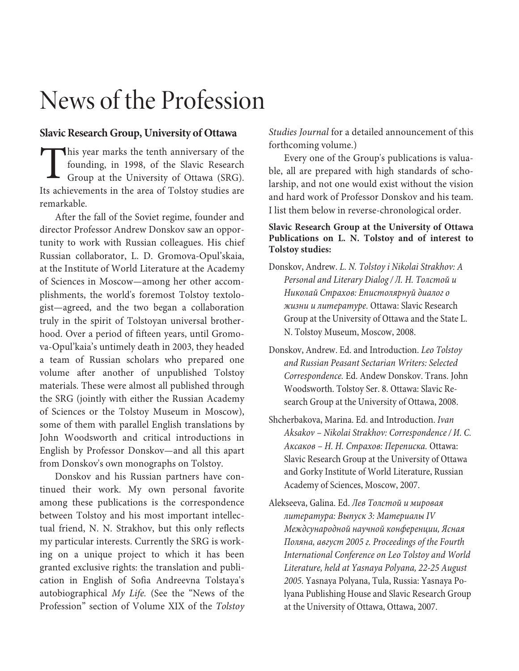## News of the Profession

## **Slavic Research Group, University of Ottawa**

his year marks the tenth anniversary of the founding, in 1998, of the Slavic Research Group at the University of Ottawa (SRG). This year marks the tenth anniversary of the founding, in 1998, of the Slavic Research Group at the University of Ottawa (SRG).<br>Its achievements in the area of Tolstoy studies are remarkable.

After the fall of the Soviet regime, founder and director Professor Andrew Donskov saw an opportunity to work with Russian colleagues. His chief Russian collaborator, L. D. Gromova-Opul'skaia, at the Institute of World Literature at the Academy of Sciences in Moscow—among her other accomplishments, the world's foremost Tolstoy textologist—agreed, and the two began a collaboration truly in the spirit of Tolstoyan universal brotherhood. Over a period of fifteen years, until Gromova-Opul'kaia's untimely death in 2003, they headed a team of Russian scholars who prepared one volume after another of unpublished Tolstoy materials. These were almost all published through the SRG (jointly with either the Russian Academy of Sciences or the Tolstoy Museum in Moscow), some of them with parallel English translations by John Woodsworth and critical introductions in English by Professor Donskov—and all this apart from Donskov's own monographs on Tolstoy.

Donskov and his Russian partners have continued their work. My own personal favorite among these publications is the correspondence between Tolstoy and his most important intellectual friend, N. N. Strakhov, but this only reflects my particular interests. Currently the SRG is working on a unique project to which it has been granted exclusive rights: the translation and publication in English of Sofia Andreevna Tolstaya's autobiographical My Life. (See the "News of the Profession" section of Volume XIX of the Tolstoy

Studies Journal for a detailed announcement of this forthcoming volume.)

Every one of the Group's publications is valuable, all are prepared with high standards of scholarship, and not one would exist without the vision and hard work of Professor Donskov and his team. I list them below in reverse-chronological order.

## **Slavic Research Group at the University of Ottawa Publications on L. N. Tolstoy and of interest to Tolstoy studies:**

- Donskov, Andrew. L. N. Tolstoy i Nikolai Strakhov: A Personal and Literary Dialog / Л. Н. Толстой и Николай Страхов: Епистолярнуй диалог о жизни и литературе. Ottawa: Slavic Research Group at the University of Ottawa and the State L. N. Tolstoy Museum, Moscow, 2008.
- Donskov, Andrew. Ed. and Introduction. Leo Tolstoy and Russian Peasant Sectarian Writers: Selected Correspondence. Ed. Andew Donskov. Trans. John Woodsworth. Tolstoy Ser. 8. Ottawa: Slavic Research Group at the University of Ottawa, 2008.
- Shcherbakova, Marina. Ed. and Introduction. Ivan Aksakov – Nikolai Strakhov: Correspondence / И. С. Аксаков – Н. Н. Страхов: Переписка. Ottawa: Slavic Research Group at the University of Ottawa and Gorky Institute of World Literature, Russian Academy of Sciences, Moscow, 2007.
- Alekseeva, Galina. Ed. Лев Толстой и мировая литература: Выпуск 3: Материалы IV Междсународной научной конференции, Ясная Поляна, август 2005 г. Proceedings of the Fourth International Conference on Leo Tolstoy and World Literature, held at Yasnaya Polyana, 22-25 August 2005. Yasnaya Polyana, Tula, Russia: Yasnaya Polyana Publishing House and Slavic Research Group at the University of Ottawa, Ottawa, 2007.